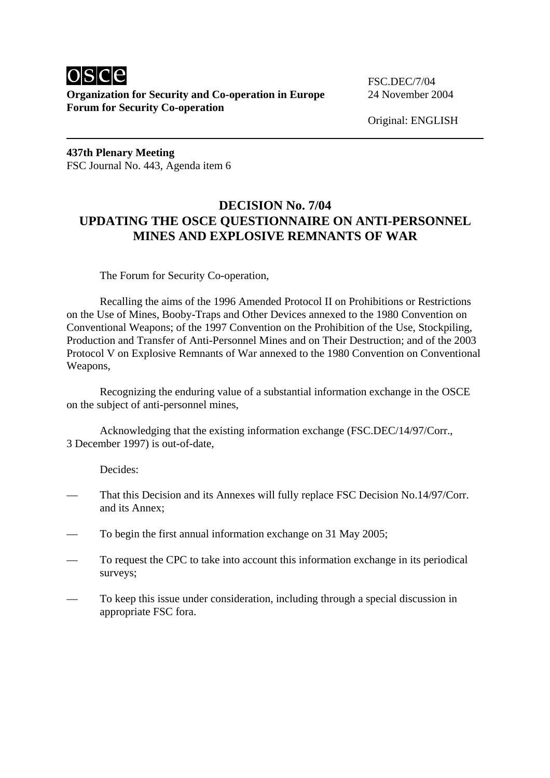

**Organization for Security and Co-operation in Europe** 24 November 2004 **Forum for Security Co-operation** 

Original: ENGLISH

**437th Plenary Meeting**  FSC Journal No. 443, Agenda item 6

## **DECISION No. 7/04 UPDATING THE OSCE QUESTIONNAIRE ON ANTI-PERSONNEL MINES AND EXPLOSIVE REMNANTS OF WAR**

The Forum for Security Co-operation,

 Recalling the aims of the 1996 Amended Protocol II on Prohibitions or Restrictions on the Use of Mines, Booby-Traps and Other Devices annexed to the 1980 Convention on Conventional Weapons; of the 1997 Convention on the Prohibition of the Use, Stockpiling, Production and Transfer of Anti-Personnel Mines and on Their Destruction; and of the 2003 Protocol V on Explosive Remnants of War annexed to the 1980 Convention on Conventional Weapons,

Recognizing the enduring value of a substantial information exchange in the OSCE on the subject of anti-personnel mines,

 Acknowledging that the existing information exchange (FSC.DEC/14/97/Corr., 3 December 1997) is out-of-date,

Decides:

- That this Decision and its Annexes will fully replace FSC Decision No.14/97/Corr. and its Annex;
- To begin the first annual information exchange on 31 May 2005;
- To request the CPC to take into account this information exchange in its periodical surveys;
- To keep this issue under consideration, including through a special discussion in appropriate FSC fora.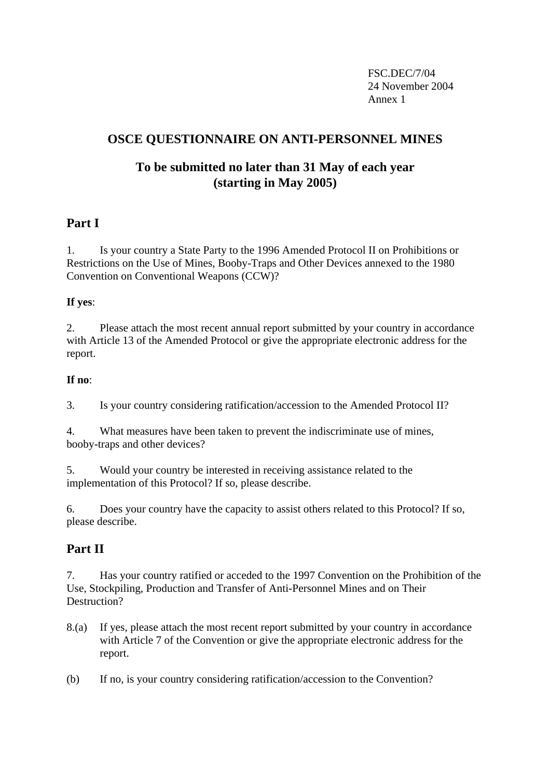FSC.DEC/7/04 24 November 2004 Annex 1

# **OSCE QUESTIONNAIRE ON ANTI-PERSONNEL MINES**

# **To be submitted no later than 31 May of each year (starting in May 2005)**

## **Part I**

1. Is your country a State Party to the 1996 Amended Protocol II on Prohibitions or Restrictions on the Use of Mines, Booby-Traps and Other Devices annexed to the 1980 Convention on Conventional Weapons (CCW)?

#### **If yes**:

2. Please attach the most recent annual report submitted by your country in accordance with Article 13 of the Amended Protocol or give the appropriate electronic address for the report.

#### **If no**:

3. Is your country considering ratification/accession to the Amended Protocol II?

4. What measures have been taken to prevent the indiscriminate use of mines, booby-traps and other devices?

5. Would your country be interested in receiving assistance related to the implementation of this Protocol? If so, please describe.

6. Does your country have the capacity to assist others related to this Protocol? If so, please describe.

# **Part II**

7. Has your country ratified or acceded to the 1997 Convention on the Prohibition of the Use, Stockpiling, Production and Transfer of Anti-Personnel Mines and on Their Destruction?

- 8.(a) If yes, please attach the most recent report submitted by your country in accordance with Article 7 of the Convention or give the appropriate electronic address for the report.
- (b) If no, is your country considering ratification/accession to the Convention?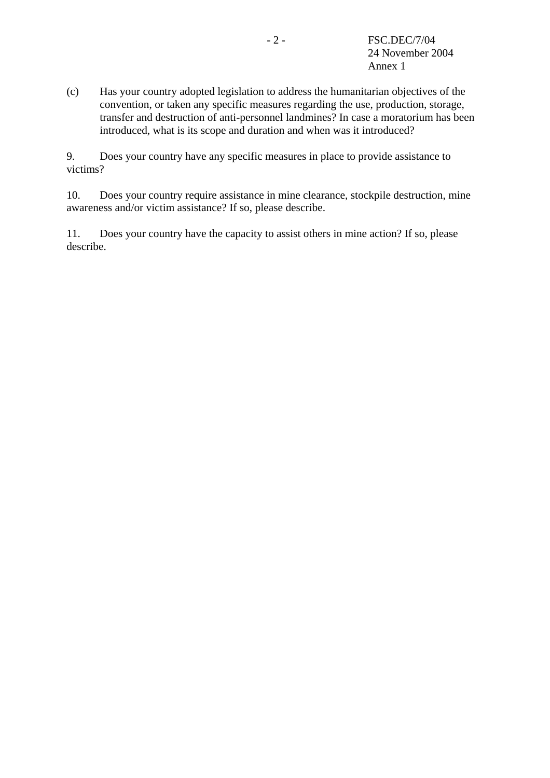(c) Has your country adopted legislation to address the humanitarian objectives of the convention, or taken any specific measures regarding the use, production, storage, transfer and destruction of anti-personnel landmines? In case a moratorium has been introduced, what is its scope and duration and when was it introduced?

9. Does your country have any specific measures in place to provide assistance to victims?

10. Does your country require assistance in mine clearance, stockpile destruction, mine awareness and/or victim assistance? If so, please describe.

11. Does your country have the capacity to assist others in mine action? If so, please describe.